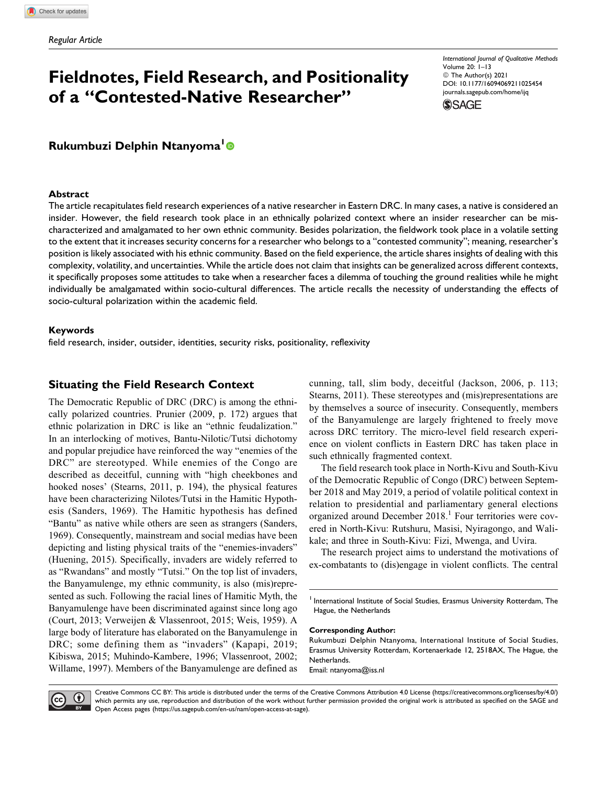# **Fieldnotes, Field Research, and Positionality of a "Contested-Native Researcher"**

*International Journal of Qualitative Methods* Volume 20: 1–13 © The Author(s) 2021 [DOI: 10.1177/16094069211025454](https://doi.org/10.1177/16094069211025454) [journals.sagepub.com/home/ijq](http://journals.sagepub.com/home/ijq)



# **Rukumbuzi Delphin Ntanyoma<sup>1</sup>**

## **Abstract**

The article recapitulates field research experiences of a native researcher in Eastern DRC. In many cases, a native is considered an insider. However, the field research took place in an ethnically polarized context where an insider researcher can be mischaracterized and amalgamated to her own ethnic community. Besides polarization, the fieldwork took place in a volatile setting to the extent that it increases security concerns for a researcher who belongs to a "contested community"; meaning, researcher's position is likely associated with his ethnic community. Based on the field experience, the article shares insights of dealing with this complexity, volatility, and uncertainties. While the article does not claim that insights can be generalized across different contexts, it specifically proposes some attitudes to take when a researcher faces a dilemma of touching the ground realities while he might individually be amalgamated within socio-cultural differences. The article recalls the necessity of understanding the effects of socio-cultural polarization within the academic field.

## **Keywords**

field research, insider, outsider, identities, security risks, positionality, reflexivity

# **Situating the Field Research Context**

The Democratic Republic of DRC (DRC) is among the ethnically polarized countries. Prunier (2009, p. 172) argues that ethnic polarization in DRC is like an "ethnic feudalization." In an interlocking of motives, Bantu-Nilotic/Tutsi dichotomy and popular prejudice have reinforced the way "enemies of the DRC" are stereotyped. While enemies of the Congo are described as deceitful, cunning with "high cheekbones and hooked noses' (Stearns, 2011, p. 194), the physical features have been characterizing Nilotes/Tutsi in the Hamitic Hypothesis (Sanders, 1969). The Hamitic hypothesis has defined "Bantu" as native while others are seen as strangers (Sanders, 1969). Consequently, mainstream and social medias have been depicting and listing physical traits of the "enemies-invaders" (Huening, 2015). Specifically, invaders are widely referred to as "Rwandans" and mostly "Tutsi." On the top list of invaders, the Banyamulenge, my ethnic community, is also (mis)represented as such. Following the racial lines of Hamitic Myth, the Banyamulenge have been discriminated against since long ago (Court, 2013; Verweijen & Vlassenroot, 2015; Weis, 1959). A large body of literature has elaborated on the Banyamulenge in DRC; some defining them as "invaders" (Kapapi, 2019; Kibiswa, 2015; Muhindo-Kambere, 1996; Vlassenroot, 2002; Willame, 1997). Members of the Banyamulenge are defined as

cunning, tall, slim body, deceitful (Jackson, 2006, p. 113; Stearns, 2011). These stereotypes and (mis)representations are by themselves a source of insecurity. Consequently, members of the Banyamulenge are largely frightened to freely move across DRC territory. The micro-level field research experience on violent conflicts in Eastern DRC has taken place in such ethnically fragmented context.

The field research took place in North-Kivu and South-Kivu of the Democratic Republic of Congo (DRC) between September 2018 and May 2019, a period of volatile political context in relation to presidential and parliamentary general elections organized around December  $2018<sup>1</sup>$  Four territories were covered in North-Kivu: Rutshuru, Masisi, Nyiragongo, and Walikale; and three in South-Kivu: Fizi, Mwenga, and Uvira.

The research project aims to understand the motivations of ex-combatants to (dis)engage in violent conflicts. The central

#### **Corresponding Author:**

Rukumbuzi Delphin Ntanyoma, International Institute of Social Studies, Erasmus University Rotterdam, Kortenaerkade 12, 2518AX, The Hague, the Netherlands. Email: [ntanyoma@iss.nl](mailto:ntanyoma@iss.nl)

 $\ddot{\mathbf{U}}$ BY.

Creative Commons CC BY: This article is distributed under the terms of the Creative Commons Attribution 4.0 License [\(https://creativecommons.org/licenses/by/4.0/\)](https://creativecommons.org/licenses/by/4.0/) which permits any use, reproduction and distribution of the work without further permission provided the original work is attributed as specified on the SAGE and Open Access pages [\(https://us.sagepub.com/en-us/nam/open-access-at-sage\)](https://us.sagepub.com/en-us/nam/open-access-at-sage).

 $<sup>1</sup>$  International Institute of Social Studies, Erasmus University Rotterdam, The</sup> Hague, the Netherlands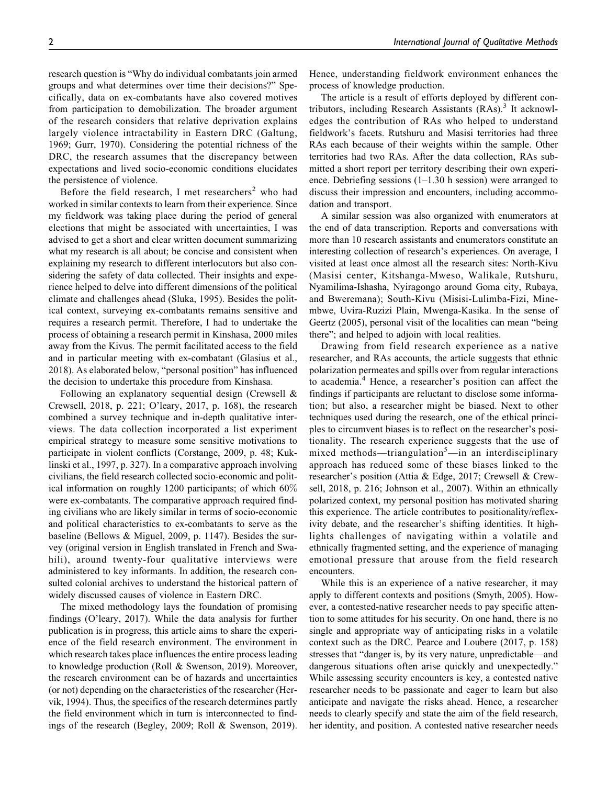research question is "Why do individual combatants join armed groups and what determines over time their decisions?" Specifically, data on ex-combatants have also covered motives from participation to demobilization. The broader argument of the research considers that relative deprivation explains largely violence intractability in Eastern DRC (Galtung, 1969; Gurr, 1970). Considering the potential richness of the DRC, the research assumes that the discrepancy between expectations and lived socio-economic conditions elucidates the persistence of violence.

Before the field research, I met researchers<sup>2</sup> who had worked in similar contexts to learn from their experience. Since my fieldwork was taking place during the period of general elections that might be associated with uncertainties, I was advised to get a short and clear written document summarizing what my research is all about; be concise and consistent when explaining my research to different interlocutors but also considering the safety of data collected. Their insights and experience helped to delve into different dimensions of the political climate and challenges ahead (Sluka, 1995). Besides the political context, surveying ex-combatants remains sensitive and requires a research permit. Therefore, I had to undertake the process of obtaining a research permit in Kinshasa, 2000 miles away from the Kivus. The permit facilitated access to the field and in particular meeting with ex-combatant (Glasius et al., 2018). As elaborated below, "personal position" has influenced the decision to undertake this procedure from Kinshasa.

Following an explanatory sequential design (Crewsell & Crewsell, 2018, p. 221; O'leary, 2017, p. 168), the research combined a survey technique and in-depth qualitative interviews. The data collection incorporated a list experiment empirical strategy to measure some sensitive motivations to participate in violent conflicts (Corstange, 2009, p. 48; Kuklinski et al., 1997, p. 327). In a comparative approach involving civilians, the field research collected socio-economic and political information on roughly 1200 participants; of which 60% were ex-combatants. The comparative approach required finding civilians who are likely similar in terms of socio-economic and political characteristics to ex-combatants to serve as the baseline (Bellows & Miguel, 2009, p. 1147). Besides the survey (original version in English translated in French and Swahili), around twenty-four qualitative interviews were administered to key informants. In addition, the research consulted colonial archives to understand the historical pattern of widely discussed causes of violence in Eastern DRC.

The mixed methodology lays the foundation of promising findings (O'leary, 2017). While the data analysis for further publication is in progress, this article aims to share the experience of the field research environment. The environment in which research takes place influences the entire process leading to knowledge production (Roll & Swenson, 2019). Moreover, the research environment can be of hazards and uncertainties (or not) depending on the characteristics of the researcher (Hervik, 1994). Thus, the specifics of the research determines partly the field environment which in turn is interconnected to findings of the research (Begley, 2009; Roll & Swenson, 2019). Hence, understanding fieldwork environment enhances the process of knowledge production.

The article is a result of efforts deployed by different contributors, including Research Assistants  $(RAs)<sup>3</sup>$  It acknowledges the contribution of RAs who helped to understand fieldwork's facets. Rutshuru and Masisi territories had three RAs each because of their weights within the sample. Other territories had two RAs. After the data collection, RAs submitted a short report per territory describing their own experience. Debriefing sessions (1–1.30 h session) were arranged to discuss their impression and encounters, including accommodation and transport.

A similar session was also organized with enumerators at the end of data transcription. Reports and conversations with more than 10 research assistants and enumerators constitute an interesting collection of research's experiences. On average, I visited at least once almost all the research sites: North-Kivu (Masisi center, Kitshanga-Mweso, Walikale, Rutshuru, Nyamilima-Ishasha, Nyiragongo around Goma city, Rubaya, and Bweremana); South-Kivu (Misisi-Lulimba-Fizi, Minembwe, Uvira-Ruzizi Plain, Mwenga-Kasika. In the sense of Geertz (2005), personal visit of the localities can mean "being there"; and helped to adjoin with local realities.

Drawing from field research experience as a native researcher, and RAs accounts, the article suggests that ethnic polarization permeates and spills over from regular interactions to academia.<sup>4</sup> Hence, a researcher's position can affect the findings if participants are reluctant to disclose some information; but also, a researcher might be biased. Next to other techniques used during the research, one of the ethical principles to circumvent biases is to reflect on the researcher's positionality. The research experience suggests that the use of mixed methods—triangulation<sup>5</sup>—in an interdisciplinary approach has reduced some of these biases linked to the researcher's position (Attia & Edge, 2017; Crewsell & Crewsell, 2018, p. 216; Johnson et al., 2007). Within an ethnically polarized context, my personal position has motivated sharing this experience. The article contributes to positionality/reflexivity debate, and the researcher's shifting identities. It highlights challenges of navigating within a volatile and ethnically fragmented setting, and the experience of managing emotional pressure that arouse from the field research encounters.

While this is an experience of a native researcher, it may apply to different contexts and positions (Smyth, 2005). However, a contested-native researcher needs to pay specific attention to some attitudes for his security. On one hand, there is no single and appropriate way of anticipating risks in a volatile context such as the DRC. Pearce and Loubere (2017, p. 158) stresses that "danger is, by its very nature, unpredictable—and dangerous situations often arise quickly and unexpectedly." While assessing security encounters is key, a contested native researcher needs to be passionate and eager to learn but also anticipate and navigate the risks ahead. Hence, a researcher needs to clearly specify and state the aim of the field research, her identity, and position. A contested native researcher needs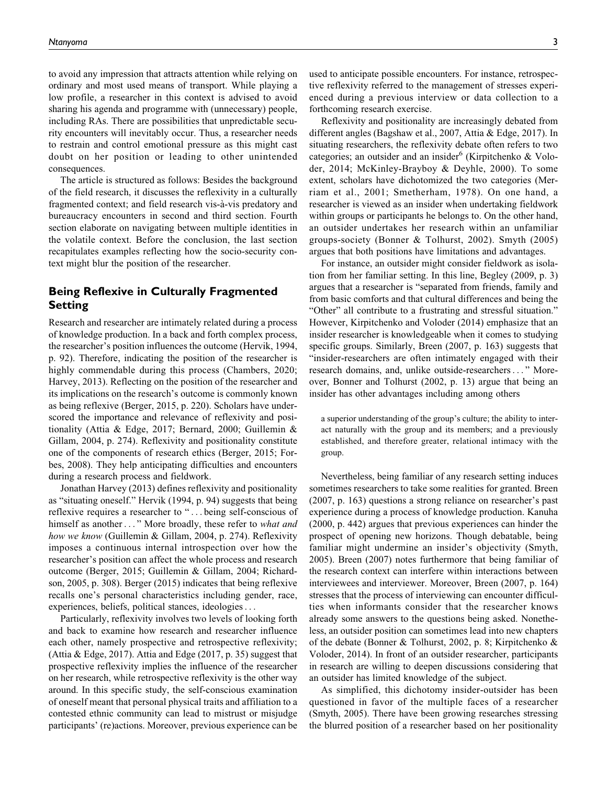to avoid any impression that attracts attention while relying on ordinary and most used means of transport. While playing a low profile, a researcher in this context is advised to avoid sharing his agenda and programme with (unnecessary) people, including RAs. There are possibilities that unpredictable security encounters will inevitably occur. Thus, a researcher needs to restrain and control emotional pressure as this might cast doubt on her position or leading to other unintended consequences.

The article is structured as follows: Besides the background of the field research, it discusses the reflexivity in a culturally fragmented context; and field research vis-à-vis predatory and bureaucracy encounters in second and third section. Fourth section elaborate on navigating between multiple identities in the volatile context. Before the conclusion, the last section recapitulates examples reflecting how the socio-security context might blur the position of the researcher.

# **Being Reflexive in Culturally Fragmented Setting**

Research and researcher are intimately related during a process of knowledge production. In a back and forth complex process, the researcher's position influences the outcome (Hervik, 1994, p. 92). Therefore, indicating the position of the researcher is highly commendable during this process (Chambers, 2020; Harvey, 2013). Reflecting on the position of the researcher and its implications on the research's outcome is commonly known as being reflexive (Berger, 2015, p. 220). Scholars have underscored the importance and relevance of reflexivity and positionality (Attia & Edge, 2017; Bernard, 2000; Guillemin & Gillam, 2004, p. 274). Reflexivity and positionality constitute one of the components of research ethics (Berger, 2015; Forbes, 2008). They help anticipating difficulties and encounters during a research process and fieldwork.

Jonathan Harvey (2013) defines reflexivity and positionality as "situating oneself." Hervik (1994, p. 94) suggests that being reflexive requires a researcher to " ... being self-conscious of himself as another..." More broadly, these refer to what and how we know (Guillemin & Gillam, 2004, p. 274). Reflexivity imposes a continuous internal introspection over how the researcher's position can affect the whole process and research outcome (Berger, 2015; Guillemin & Gillam, 2004; Richardson, 2005, p. 308). Berger (2015) indicates that being reflexive recalls one's personal characteristics including gender, race, experiences, beliefs, political stances, ideologies...

Particularly, reflexivity involves two levels of looking forth and back to examine how research and researcher influence each other, namely prospective and retrospective reflexivity; (Attia & Edge, 2017). Attia and Edge (2017, p. 35) suggest that prospective reflexivity implies the influence of the researcher on her research, while retrospective reflexivity is the other way around. In this specific study, the self-conscious examination of oneself meant that personal physical traits and affiliation to a contested ethnic community can lead to mistrust or misjudge participants' (re)actions. Moreover, previous experience can be used to anticipate possible encounters. For instance, retrospective reflexivity referred to the management of stresses experienced during a previous interview or data collection to a forthcoming research exercise.

Reflexivity and positionality are increasingly debated from different angles (Bagshaw et al., 2007, Attia & Edge, 2017). In situating researchers, the reflexivity debate often refers to two categories; an outsider and an insider $<sup>6</sup>$  (Kirpitchenko & Volo-</sup> der, 2014; McKinley-Brayboy & Deyhle, 2000). To some extent, scholars have dichotomized the two categories (Merriam et al., 2001; Smetherham, 1978). On one hand, a researcher is viewed as an insider when undertaking fieldwork within groups or participants he belongs to. On the other hand, an outsider undertakes her research within an unfamiliar groups-society (Bonner & Tolhurst, 2002). Smyth (2005) argues that both positions have limitations and advantages.

For instance, an outsider might consider fieldwork as isolation from her familiar setting. In this line, Begley (2009, p. 3) argues that a researcher is "separated from friends, family and from basic comforts and that cultural differences and being the "Other" all contribute to a frustrating and stressful situation." However, Kirpitchenko and Voloder (2014) emphasize that an insider researcher is knowledgeable when it comes to studying specific groups. Similarly, Breen (2007, p. 163) suggests that "insider-researchers are often intimately engaged with their research domains, and, unlike outside-researchers... " Moreover, Bonner and Tolhurst (2002, p. 13) argue that being an insider has other advantages including among others

a superior understanding of the group's culture; the ability to interact naturally with the group and its members; and a previously established, and therefore greater, relational intimacy with the group.

Nevertheless, being familiar of any research setting induces sometimes researchers to take some realities for granted. Breen (2007, p. 163) questions a strong reliance on researcher's past experience during a process of knowledge production. Kanuha (2000, p. 442) argues that previous experiences can hinder the prospect of opening new horizons. Though debatable, being familiar might undermine an insider's objectivity (Smyth, 2005). Breen (2007) notes furthermore that being familiar of the research context can interfere within interactions between interviewees and interviewer. Moreover, Breen (2007, p. 164) stresses that the process of interviewing can encounter difficulties when informants consider that the researcher knows already some answers to the questions being asked. Nonetheless, an outsider position can sometimes lead into new chapters of the debate (Bonner & Tolhurst, 2002, p. 8; Kirpitchenko & Voloder, 2014). In front of an outsider researcher, participants in research are willing to deepen discussions considering that an outsider has limited knowledge of the subject.

As simplified, this dichotomy insider-outsider has been questioned in favor of the multiple faces of a researcher (Smyth, 2005). There have been growing researches stressing the blurred position of a researcher based on her positionality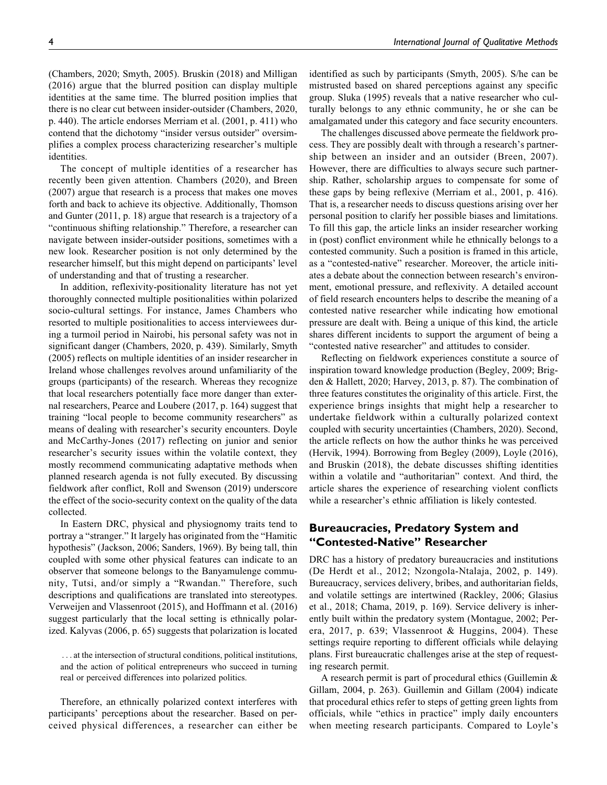(Chambers, 2020; Smyth, 2005). Bruskin (2018) and Milligan (2016) argue that the blurred position can display multiple identities at the same time. The blurred position implies that there is no clear cut between insider-outsider (Chambers, 2020, p. 440). The article endorses Merriam et al. (2001, p. 411) who contend that the dichotomy "insider versus outsider" oversimplifies a complex process characterizing researcher's multiple identities.

The concept of multiple identities of a researcher has recently been given attention. Chambers (2020), and Breen (2007) argue that research is a process that makes one moves forth and back to achieve its objective. Additionally, Thomson and Gunter (2011, p. 18) argue that research is a trajectory of a "continuous shifting relationship." Therefore, a researcher can navigate between insider-outsider positions, sometimes with a new look. Researcher position is not only determined by the researcher himself, but this might depend on participants' level of understanding and that of trusting a researcher.

In addition, reflexivity-positionality literature has not yet thoroughly connected multiple positionalities within polarized socio-cultural settings. For instance, James Chambers who resorted to multiple positionalities to access interviewees during a turmoil period in Nairobi, his personal safety was not in significant danger (Chambers, 2020, p. 439). Similarly, Smyth (2005) reflects on multiple identities of an insider researcher in Ireland whose challenges revolves around unfamiliarity of the groups (participants) of the research. Whereas they recognize that local researchers potentially face more danger than external researchers, Pearce and Loubere (2017, p. 164) suggest that training "local people to become community researchers" as means of dealing with researcher's security encounters. Doyle and McCarthy-Jones (2017) reflecting on junior and senior researcher's security issues within the volatile context, they mostly recommend communicating adaptative methods when planned research agenda is not fully executed. By discussing fieldwork after conflict, Roll and Swenson (2019) underscore the effect of the socio-security context on the quality of the data collected.

In Eastern DRC, physical and physiognomy traits tend to portray a "stranger." It largely has originated from the "Hamitic hypothesis" (Jackson, 2006; Sanders, 1969). By being tall, thin coupled with some other physical features can indicate to an observer that someone belongs to the Banyamulenge community, Tutsi, and/or simply a "Rwandan." Therefore, such descriptions and qualifications are translated into stereotypes. Verweijen and Vlassenroot (2015), and Hoffmann et al. (2016) suggest particularly that the local setting is ethnically polarized. Kalyvas (2006, p. 65) suggests that polarization is located

... at the intersection of structural conditions, political institutions, and the action of political entrepreneurs who succeed in turning real or perceived differences into polarized politics.

Therefore, an ethnically polarized context interferes with participants' perceptions about the researcher. Based on perceived physical differences, a researcher can either be identified as such by participants (Smyth, 2005). S/he can be mistrusted based on shared perceptions against any specific group. Sluka (1995) reveals that a native researcher who culturally belongs to any ethnic community, he or she can be amalgamated under this category and face security encounters.

The challenges discussed above permeate the fieldwork process. They are possibly dealt with through a research's partnership between an insider and an outsider (Breen, 2007). However, there are difficulties to always secure such partnership. Rather, scholarship argues to compensate for some of these gaps by being reflexive (Merriam et al., 2001, p. 416). That is, a researcher needs to discuss questions arising over her personal position to clarify her possible biases and limitations. To fill this gap, the article links an insider researcher working in (post) conflict environment while he ethnically belongs to a contested community. Such a position is framed in this article, as a "contested-native" researcher. Moreover, the article initiates a debate about the connection between research's environment, emotional pressure, and reflexivity. A detailed account of field research encounters helps to describe the meaning of a contested native researcher while indicating how emotional pressure are dealt with. Being a unique of this kind, the article shares different incidents to support the argument of being a "contested native researcher" and attitudes to consider.

Reflecting on fieldwork experiences constitute a source of inspiration toward knowledge production (Begley, 2009; Brigden & Hallett, 2020; Harvey, 2013, p. 87). The combination of three features constitutes the originality of this article. First, the experience brings insights that might help a researcher to undertake fieldwork within a culturally polarized context coupled with security uncertainties (Chambers, 2020). Second, the article reflects on how the author thinks he was perceived (Hervik, 1994). Borrowing from Begley (2009), Loyle (2016), and Bruskin (2018), the debate discusses shifting identities within a volatile and "authoritarian" context. And third, the article shares the experience of researching violent conflicts while a researcher's ethnic affiliation is likely contested.

# **Bureaucracies, Predatory System and "Contested-Native" Researcher**

DRC has a history of predatory bureaucracies and institutions (De Herdt et al., 2012; Nzongola-Ntalaja, 2002, p. 149). Bureaucracy, services delivery, bribes, and authoritarian fields, and volatile settings are intertwined (Rackley, 2006; Glasius et al., 2018; Chama, 2019, p. 169). Service delivery is inherently built within the predatory system (Montague, 2002; Perera, 2017, p. 639; Vlassenroot & Huggins, 2004). These settings require reporting to different officials while delaying plans. First bureaucratic challenges arise at the step of requesting research permit.

A research permit is part of procedural ethics (Guillemin & Gillam, 2004, p. 263). Guillemin and Gillam (2004) indicate that procedural ethics refer to steps of getting green lights from officials, while "ethics in practice" imply daily encounters when meeting research participants. Compared to Loyle's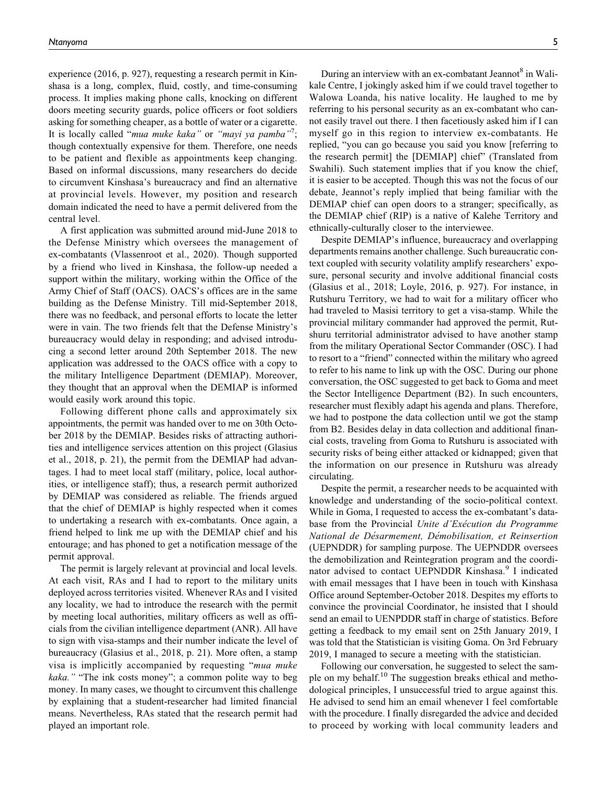experience (2016, p. 927), requesting a research permit in Kinshasa is a long, complex, fluid, costly, and time-consuming process. It implies making phone calls, knocking on different doors meeting security guards, police officers or foot soldiers asking for something cheaper, as a bottle of water or a cigarette. It is locally called "mua muke kaka" or "mayi ya pamba"<sup>7</sup>; though contextually expensive for them. Therefore, one needs to be patient and flexible as appointments keep changing. Based on informal discussions, many researchers do decide to circumvent Kinshasa's bureaucracy and find an alternative at provincial levels. However, my position and research domain indicated the need to have a permit delivered from the central level.

A first application was submitted around mid-June 2018 to the Defense Ministry which oversees the management of ex-combatants (Vlassenroot et al., 2020). Though supported by a friend who lived in Kinshasa, the follow-up needed a support within the military, working within the Office of the Army Chief of Staff (OACS). OACS's offices are in the same building as the Defense Ministry. Till mid-September 2018, there was no feedback, and personal efforts to locate the letter were in vain. The two friends felt that the Defense Ministry's bureaucracy would delay in responding; and advised introducing a second letter around 20th September 2018. The new application was addressed to the OACS office with a copy to the military Intelligence Department (DEMIAP). Moreover, they thought that an approval when the DEMIAP is informed would easily work around this topic.

Following different phone calls and approximately six appointments, the permit was handed over to me on 30th October 2018 by the DEMIAP. Besides risks of attracting authorities and intelligence services attention on this project (Glasius et al., 2018, p. 21), the permit from the DEMIAP had advantages. I had to meet local staff (military, police, local authorities, or intelligence staff); thus, a research permit authorized by DEMIAP was considered as reliable. The friends argued that the chief of DEMIAP is highly respected when it comes to undertaking a research with ex-combatants. Once again, a friend helped to link me up with the DEMIAP chief and his entourage; and has phoned to get a notification message of the permit approval.

The permit is largely relevant at provincial and local levels. At each visit, RAs and I had to report to the military units deployed across territories visited. Whenever RAs and I visited any locality, we had to introduce the research with the permit by meeting local authorities, military officers as well as officials from the civilian intelligence department (ANR). All have to sign with visa-stamps and their number indicate the level of bureaucracy (Glasius et al., 2018, p. 21). More often, a stamp visa is implicitly accompanied by requesting "mua muke kaka." "The ink costs money"; a common polite way to beg money. In many cases, we thought to circumvent this challenge by explaining that a student-researcher had limited financial means. Nevertheless, RAs stated that the research permit had played an important role.

During an interview with an ex-combatant Jeannot<sup>8</sup> in Walikale Centre, I jokingly asked him if we could travel together to Walowa Loanda, his native locality. He laughed to me by referring to his personal security as an ex-combatant who cannot easily travel out there. I then facetiously asked him if I can myself go in this region to interview ex-combatants. He replied, "you can go because you said you know [referring to the research permit] the [DEMIAP] chief" (Translated from Swahili). Such statement implies that if you know the chief, it is easier to be accepted. Though this was not the focus of our debate, Jeannot's reply implied that being familiar with the DEMIAP chief can open doors to a stranger; specifically, as the DEMIAP chief (RIP) is a native of Kalehe Territory and ethnically-culturally closer to the interviewee.

Despite DEMIAP's influence, bureaucracy and overlapping departments remains another challenge. Such bureaucratic context coupled with security volatility amplify researchers' exposure, personal security and involve additional financial costs (Glasius et al., 2018; Loyle, 2016, p. 927). For instance, in Rutshuru Territory, we had to wait for a military officer who had traveled to Masisi territory to get a visa-stamp. While the provincial military commander had approved the permit, Rutshuru territorial administrator advised to have another stamp from the military Operational Sector Commander (OSC). I had to resort to a "friend" connected within the military who agreed to refer to his name to link up with the OSC. During our phone conversation, the OSC suggested to get back to Goma and meet the Sector Intelligence Department (B2). In such encounters, researcher must flexibly adapt his agenda and plans. Therefore, we had to postpone the data collection until we got the stamp from B2. Besides delay in data collection and additional financial costs, traveling from Goma to Rutshuru is associated with security risks of being either attacked or kidnapped; given that the information on our presence in Rutshuru was already circulating.

Despite the permit, a researcher needs to be acquainted with knowledge and understanding of the socio-political context. While in Goma, I requested to access the ex-combatant's database from the Provincial Unite d'Exécution du Programme National de Désarmement, Démobilisation, et Reinsertion (UEPNDDR) for sampling purpose. The UEPNDDR oversees the demobilization and Reintegration program and the coordinator advised to contact UEPNDDR Kinshasa.<sup>9</sup> I indicated with email messages that I have been in touch with Kinshasa Office around September-October 2018. Despites my efforts to convince the provincial Coordinator, he insisted that I should send an email to UENPDDR staff in charge of statistics. Before getting a feedback to my email sent on 25th January 2019, I was told that the Statistician is visiting Goma. On 3rd February 2019, I managed to secure a meeting with the statistician.

Following our conversation, he suggested to select the sample on my behalf.<sup>10</sup> The suggestion breaks ethical and methodological principles, I unsuccessful tried to argue against this. He advised to send him an email whenever I feel comfortable with the procedure. I finally disregarded the advice and decided to proceed by working with local community leaders and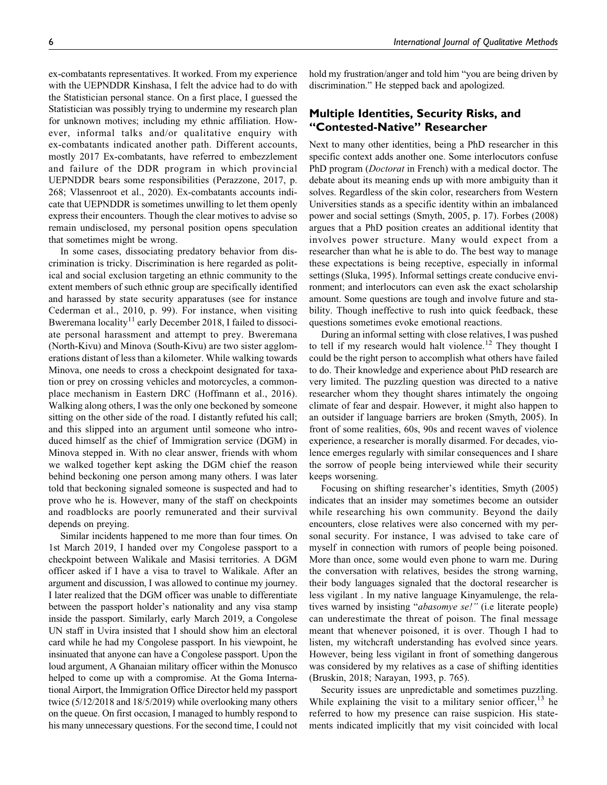ex-combatants representatives. It worked. From my experience with the UEPNDDR Kinshasa, I felt the advice had to do with the Statistician personal stance. On a first place, I guessed the Statistician was possibly trying to undermine my research plan for unknown motives; including my ethnic affiliation. However, informal talks and/or qualitative enquiry with ex-combatants indicated another path. Different accounts, mostly 2017 Ex-combatants, have referred to embezzlement and failure of the DDR program in which provincial UEPNDDR bears some responsibilities (Perazzone, 2017, p. 268; Vlassenroot et al., 2020). Ex-combatants accounts indicate that UEPNDDR is sometimes unwilling to let them openly express their encounters. Though the clear motives to advise so remain undisclosed, my personal position opens speculation that sometimes might be wrong.

In some cases, dissociating predatory behavior from discrimination is tricky. Discrimination is here regarded as political and social exclusion targeting an ethnic community to the extent members of such ethnic group are specifically identified and harassed by state security apparatuses (see for instance Cederman et al., 2010, p. 99). For instance, when visiting Bweremana locality<sup>11</sup> early December 2018, I failed to dissociate personal harassment and attempt to prey. Bweremana (North-Kivu) and Minova (South-Kivu) are two sister agglomerations distant of less than a kilometer. While walking towards Minova, one needs to cross a checkpoint designated for taxation or prey on crossing vehicles and motorcycles, a commonplace mechanism in Eastern DRC (Hoffmann et al., 2016). Walking along others, I was the only one beckoned by someone sitting on the other side of the road. I distantly refuted his call; and this slipped into an argument until someone who introduced himself as the chief of Immigration service (DGM) in Minova stepped in. With no clear answer, friends with whom we walked together kept asking the DGM chief the reason behind beckoning one person among many others. I was later told that beckoning signaled someone is suspected and had to prove who he is. However, many of the staff on checkpoints and roadblocks are poorly remunerated and their survival depends on preying.

Similar incidents happened to me more than four times. On 1st March 2019, I handed over my Congolese passport to a checkpoint between Walikale and Masisi territories. A DGM officer asked if I have a visa to travel to Walikale. After an argument and discussion, I was allowed to continue my journey. I later realized that the DGM officer was unable to differentiate between the passport holder's nationality and any visa stamp inside the passport. Similarly, early March 2019, a Congolese UN staff in Uvira insisted that I should show him an electoral card while he had my Congolese passport. In his viewpoint, he insinuated that anyone can have a Congolese passport. Upon the loud argument, A Ghanaian military officer within the Monusco helped to come up with a compromise. At the Goma International Airport, the Immigration Office Director held my passport twice (5/12/2018 and 18/5/2019) while overlooking many others on the queue. On first occasion, I managed to humbly respond to his many unnecessary questions. For the second time, I could not hold my frustration/anger and told him "you are being driven by discrimination." He stepped back and apologized.

# **Multiple Identities, Security Risks, and "Contested-Native" Researcher**

Next to many other identities, being a PhD researcher in this specific context adds another one. Some interlocutors confuse PhD program (Doctorat in French) with a medical doctor. The debate about its meaning ends up with more ambiguity than it solves. Regardless of the skin color, researchers from Western Universities stands as a specific identity within an imbalanced power and social settings (Smyth, 2005, p. 17). Forbes (2008) argues that a PhD position creates an additional identity that involves power structure. Many would expect from a researcher than what he is able to do. The best way to manage these expectations is being receptive, especially in informal settings (Sluka, 1995). Informal settings create conducive environment; and interlocutors can even ask the exact scholarship amount. Some questions are tough and involve future and stability. Though ineffective to rush into quick feedback, these questions sometimes evoke emotional reactions.

During an informal setting with close relatives, I was pushed to tell if my research would halt violence.<sup>12</sup> They thought I could be the right person to accomplish what others have failed to do. Their knowledge and experience about PhD research are very limited. The puzzling question was directed to a native researcher whom they thought shares intimately the ongoing climate of fear and despair. However, it might also happen to an outsider if language barriers are broken (Smyth, 2005). In front of some realities, 60s, 90s and recent waves of violence experience, a researcher is morally disarmed. For decades, violence emerges regularly with similar consequences and I share the sorrow of people being interviewed while their security keeps worsening.

Focusing on shifting researcher's identities, Smyth (2005) indicates that an insider may sometimes become an outsider while researching his own community. Beyond the daily encounters, close relatives were also concerned with my personal security. For instance, I was advised to take care of myself in connection with rumors of people being poisoned. More than once, some would even phone to warn me. During the conversation with relatives, besides the strong warning, their body languages signaled that the doctoral researcher is less vigilant . In my native language Kinyamulenge, the relatives warned by insisting "abasomye se!" (i.e literate people) can underestimate the threat of poison. The final message meant that whenever poisoned, it is over. Though I had to listen, my witchcraft understanding has evolved since years. However, being less vigilant in front of something dangerous was considered by my relatives as a case of shifting identities (Bruskin, 2018; Narayan, 1993, p. 765).

Security issues are unpredictable and sometimes puzzling. While explaining the visit to a military senior officer,  $13$  he referred to how my presence can raise suspicion. His statements indicated implicitly that my visit coincided with local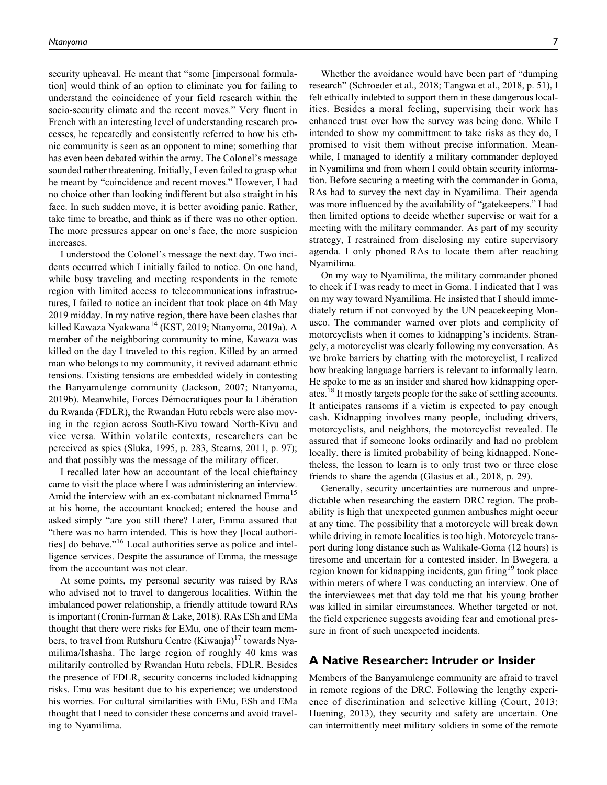security upheaval. He meant that "some [impersonal formulation] would think of an option to eliminate you for failing to understand the coincidence of your field research within the socio-security climate and the recent moves." Very fluent in French with an interesting level of understanding research processes, he repeatedly and consistently referred to how his ethnic community is seen as an opponent to mine; something that has even been debated within the army. The Colonel's message sounded rather threatening. Initially, I even failed to grasp what he meant by "coincidence and recent moves." However, I had no choice other than looking indifferent but also straight in his face. In such sudden move, it is better avoiding panic. Rather, take time to breathe, and think as if there was no other option. The more pressures appear on one's face, the more suspicion increases.

I understood the Colonel's message the next day. Two incidents occurred which I initially failed to notice. On one hand, while busy traveling and meeting respondents in the remote region with limited access to telecommunications infrastructures, I failed to notice an incident that took place on 4th May 2019 midday. In my native region, there have been clashes that killed Kawaza Nyakwana<sup>14</sup> (KST, 2019; Ntanyoma, 2019a). A member of the neighboring community to mine, Kawaza was killed on the day I traveled to this region. Killed by an armed man who belongs to my community, it revived adamant ethnic tensions. Existing tensions are embedded widely in contesting the Banyamulenge community (Jackson, 2007; Ntanyoma, 2019b). Meanwhile, Forces Démocratiques pour la Libération du Rwanda (FDLR), the Rwandan Hutu rebels were also moving in the region across South-Kivu toward North-Kivu and vice versa. Within volatile contexts, researchers can be perceived as spies (Sluka, 1995, p. 283, Stearns, 2011, p. 97); and that possibly was the message of the military officer.

I recalled later how an accountant of the local chieftaincy came to visit the place where I was administering an interview. Amid the interview with an ex-combatant nicknamed Emma<sup>15</sup> at his home, the accountant knocked; entered the house and asked simply "are you still there? Later, Emma assured that "there was no harm intended. This is how they [local authorities] do behave."<sup>16</sup> Local authorities serve as police and intelligence services. Despite the assurance of Emma, the message from the accountant was not clear.

At some points, my personal security was raised by RAs who advised not to travel to dangerous localities. Within the imbalanced power relationship, a friendly attitude toward RAs is important (Cronin-furman & Lake, 2018). RAs ESh and EMa thought that there were risks for EMu, one of their team members, to travel from Rutshuru Centre  $(Kiwanja)^{17}$  towards Nyamilima/Ishasha. The large region of roughly 40 kms was militarily controlled by Rwandan Hutu rebels, FDLR. Besides the presence of FDLR, security concerns included kidnapping risks. Emu was hesitant due to his experience; we understood his worries. For cultural similarities with EMu, ESh and EMa thought that I need to consider these concerns and avoid traveling to Nyamilima.

Whether the avoidance would have been part of "dumping research" (Schroeder et al., 2018; Tangwa et al., 2018, p. 51), I felt ethically indebted to support them in these dangerous localities. Besides a moral feeling, supervising their work has enhanced trust over how the survey was being done. While I intended to show my committment to take risks as they do, I promised to visit them without precise information. Meanwhile, I managed to identify a military commander deployed in Nyamilima and from whom I could obtain security information. Before securing a meeting with the commander in Goma, RAs had to survey the next day in Nyamilima. Their agenda was more influenced by the availability of "gatekeepers." I had then limited options to decide whether supervise or wait for a meeting with the military commander. As part of my security strategy, I restrained from disclosing my entire supervisory agenda. I only phoned RAs to locate them after reaching Nyamilima.

On my way to Nyamilima, the military commander phoned to check if I was ready to meet in Goma. I indicated that I was on my way toward Nyamilima. He insisted that I should immediately return if not convoyed by the UN peacekeeping Monusco. The commander warned over plots and complicity of motorcyclists when it comes to kidnapping's incidents. Strangely, a motorcyclist was clearly following my conversation. As we broke barriers by chatting with the motorcyclist, I realized how breaking language barriers is relevant to informally learn. He spoke to me as an insider and shared how kidnapping operates.18 It mostly targets people for the sake of settling accounts. It anticipates ransoms if a victim is expected to pay enough cash. Kidnapping involves many people, including drivers, motorcyclists, and neighbors, the motorcyclist revealed. He assured that if someone looks ordinarily and had no problem locally, there is limited probability of being kidnapped. Nonetheless, the lesson to learn is to only trust two or three close friends to share the agenda (Glasius et al., 2018, p. 29).

Generally, security uncertainties are numerous and unpredictable when researching the eastern DRC region. The probability is high that unexpected gunmen ambushes might occur at any time. The possibility that a motorcycle will break down while driving in remote localities is too high. Motorcycle transport during long distance such as Walikale-Goma (12 hours) is tiresome and uncertain for a contested insider. In Bwegera, a region known for kidnapping incidents, gun firing<sup>19</sup> took place within meters of where I was conducting an interview. One of the interviewees met that day told me that his young brother was killed in similar circumstances. Whether targeted or not, the field experience suggests avoiding fear and emotional pressure in front of such unexpected incidents.

## **A Native Researcher: Intruder or Insider**

Members of the Banyamulenge community are afraid to travel in remote regions of the DRC. Following the lengthy experience of discrimination and selective killing (Court, 2013; Huening, 2013), they security and safety are uncertain. One can intermittently meet military soldiers in some of the remote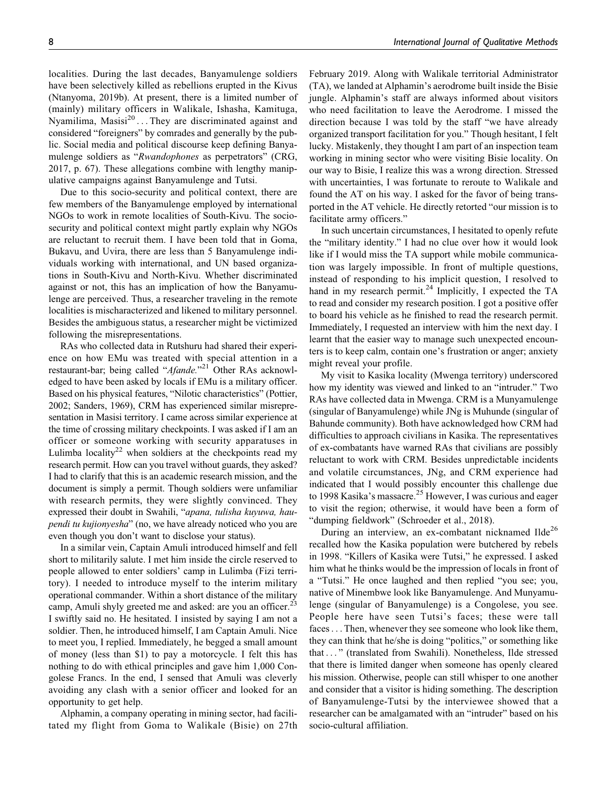localities. During the last decades, Banyamulenge soldiers have been selectively killed as rebellions erupted in the Kivus (Ntanyoma, 2019b). At present, there is a limited number of (mainly) military officers in Walikale, Ishasha, Kamituga, Nyamilima, Masisi $^{20}$ ... They are discriminated against and considered "foreigners" by comrades and generally by the public. Social media and political discourse keep defining Banyamulenge soldiers as "Rwandophones as perpetrators" (CRG, 2017, p. 67). These allegations combine with lengthy manipulative campaigns against Banyamulenge and Tutsi.

Due to this socio-security and political context, there are few members of the Banyamulenge employed by international NGOs to work in remote localities of South-Kivu. The sociosecurity and political context might partly explain why NGOs are reluctant to recruit them. I have been told that in Goma, Bukavu, and Uvira, there are less than 5 Banyamulenge individuals working with international, and UN based organizations in South-Kivu and North-Kivu. Whether discriminated against or not, this has an implication of how the Banyamulenge are perceived. Thus, a researcher traveling in the remote localities is mischaracterized and likened to military personnel. Besides the ambiguous status, a researcher might be victimized following the misrepresentations.

RAs who collected data in Rutshuru had shared their experience on how EMu was treated with special attention in a restaurant-bar; being called "Afande."<sup>21</sup> Other RAs acknowledged to have been asked by locals if EMu is a military officer. Based on his physical features, "Nilotic characteristics" (Pottier, 2002; Sanders, 1969), CRM has experienced similar misrepresentation in Masisi territory. I came across similar experience at the time of crossing military checkpoints. I was asked if I am an officer or someone working with security apparatuses in Lulimba locality<sup>22</sup> when soldiers at the checkpoints read my research permit. How can you travel without guards, they asked? I had to clarify that this is an academic research mission, and the document is simply a permit. Though soldiers were unfamiliar with research permits, they were slightly convinced. They expressed their doubt in Swahili, "apana, tulisha kuyuwa, haupendi tu kujionyesha" (no, we have already noticed who you are even though you don't want to disclose your status).

In a similar vein, Captain Amuli introduced himself and fell short to militarily salute. I met him inside the circle reserved to people allowed to enter soldiers' camp in Lulimba (Fizi territory). I needed to introduce myself to the interim military operational commander. Within a short distance of the military camp, Amuli shyly greeted me and asked: are you an officer.<sup>23</sup> I swiftly said no. He hesitated. I insisted by saying I am not a soldier. Then, he introduced himself, I am Captain Amuli. Nice to meet you, I replied. Immediately, he begged a small amount of money (less than \$1) to pay a motorcycle. I felt this has nothing to do with ethical principles and gave him 1,000 Congolese Francs. In the end, I sensed that Amuli was cleverly avoiding any clash with a senior officer and looked for an opportunity to get help.

Alphamin, a company operating in mining sector, had facilitated my flight from Goma to Walikale (Bisie) on 27th

February 2019. Along with Walikale territorial Administrator (TA), we landed at Alphamin's aerodrome built inside the Bisie jungle. Alphamin's staff are always informed about visitors who need facilitation to leave the Aerodrome. I missed the direction because I was told by the staff "we have already organized transport facilitation for you." Though hesitant, I felt lucky. Mistakenly, they thought I am part of an inspection team working in mining sector who were visiting Bisie locality. On our way to Bisie, I realize this was a wrong direction. Stressed with uncertainties, I was fortunate to reroute to Walikale and found the AT on his way. I asked for the favor of being transported in the AT vehicle. He directly retorted "our mission is to facilitate army officers."

In such uncertain circumstances, I hesitated to openly refute the "military identity." I had no clue over how it would look like if I would miss the TA support while mobile communication was largely impossible. In front of multiple questions, instead of responding to his implicit question, I resolved to hand in my research permit. $24$  Implicitly, I expected the TA to read and consider my research position. I got a positive offer to board his vehicle as he finished to read the research permit. Immediately, I requested an interview with him the next day. I learnt that the easier way to manage such unexpected encounters is to keep calm, contain one's frustration or anger; anxiety might reveal your profile.

My visit to Kasika locality (Mwenga territory) underscored how my identity was viewed and linked to an "intruder." Two RAs have collected data in Mwenga. CRM is a Munyamulenge (singular of Banyamulenge) while JNg is Muhunde (singular of Bahunde community). Both have acknowledged how CRM had difficulties to approach civilians in Kasika. The representatives of ex-combatants have warned RAs that civilians are possibly reluctant to work with CRM. Besides unpredictable incidents and volatile circumstances, JNg, and CRM experience had indicated that I would possibly encounter this challenge due to 1998 Kasika's massacre.<sup>25</sup> However, I was curious and eager to visit the region; otherwise, it would have been a form of "dumping fieldwork" (Schroeder et al., 2018).

During an interview, an ex-combatant nicknamed Ilde<sup>26</sup> recalled how the Kasika population were butchered by rebels in 1998. "Killers of Kasika were Tutsi," he expressed. I asked him what he thinks would be the impression of locals in front of a "Tutsi." He once laughed and then replied "you see; you, native of Minembwe look like Banyamulenge. And Munyamulenge (singular of Banyamulenge) is a Congolese, you see. People here have seen Tutsi's faces; these were tall faces... Then, whenever they see someone who look like them, they can think that he/she is doing "politics," or something like that ... " (translated from Swahili). Nonetheless, Ilde stressed that there is limited danger when someone has openly cleared his mission. Otherwise, people can still whisper to one another and consider that a visitor is hiding something. The description of Banyamulenge-Tutsi by the interviewee showed that a researcher can be amalgamated with an "intruder" based on his socio-cultural affiliation.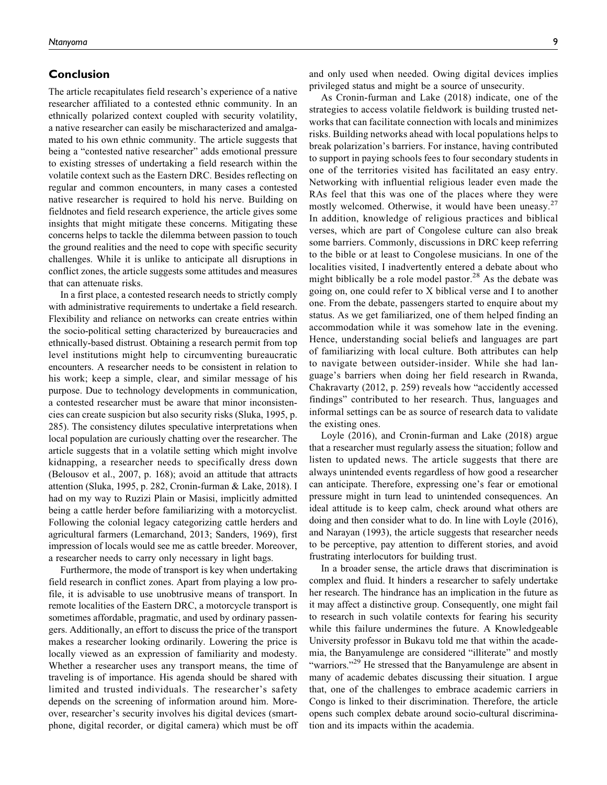# **Conclusion**

The article recapitulates field research's experience of a native researcher affiliated to a contested ethnic community. In an ethnically polarized context coupled with security volatility, a native researcher can easily be mischaracterized and amalgamated to his own ethnic community. The article suggests that being a "contested native researcher" adds emotional pressure to existing stresses of undertaking a field research within the volatile context such as the Eastern DRC. Besides reflecting on regular and common encounters, in many cases a contested native researcher is required to hold his nerve. Building on fieldnotes and field research experience, the article gives some insights that might mitigate these concerns. Mitigating these concerns helps to tackle the dilemma between passion to touch the ground realities and the need to cope with specific security challenges. While it is unlike to anticipate all disruptions in conflict zones, the article suggests some attitudes and measures that can attenuate risks.

In a first place, a contested research needs to strictly comply with administrative requirements to undertake a field research. Flexibility and reliance on networks can create entries within the socio-political setting characterized by bureaucracies and ethnically-based distrust. Obtaining a research permit from top level institutions might help to circumventing bureaucratic encounters. A researcher needs to be consistent in relation to his work; keep a simple, clear, and similar message of his purpose. Due to technology developments in communication, a contested researcher must be aware that minor inconsistencies can create suspicion but also security risks (Sluka, 1995, p. 285). The consistency dilutes speculative interpretations when local population are curiously chatting over the researcher. The article suggests that in a volatile setting which might involve kidnapping, a researcher needs to specifically dress down (Belousov et al., 2007, p. 168); avoid an attitude that attracts attention (Sluka, 1995, p. 282, Cronin-furman & Lake, 2018). I had on my way to Ruzizi Plain or Masisi, implicitly admitted being a cattle herder before familiarizing with a motorcyclist. Following the colonial legacy categorizing cattle herders and agricultural farmers (Lemarchand, 2013; Sanders, 1969), first impression of locals would see me as cattle breeder. Moreover, a researcher needs to carry only necessary in light bags.

Furthermore, the mode of transport is key when undertaking field research in conflict zones. Apart from playing a low profile, it is advisable to use unobtrusive means of transport. In remote localities of the Eastern DRC, a motorcycle transport is sometimes affordable, pragmatic, and used by ordinary passengers. Additionally, an effort to discuss the price of the transport makes a researcher looking ordinarily. Lowering the price is locally viewed as an expression of familiarity and modesty. Whether a researcher uses any transport means, the time of traveling is of importance. His agenda should be shared with limited and trusted individuals. The researcher's safety depends on the screening of information around him. Moreover, researcher's security involves his digital devices (smartphone, digital recorder, or digital camera) which must be off and only used when needed. Owing digital devices implies privileged status and might be a source of unsecurity.

As Cronin-furman and Lake (2018) indicate, one of the strategies to access volatile fieldwork is building trusted networks that can facilitate connection with locals and minimizes risks. Building networks ahead with local populations helps to break polarization's barriers. For instance, having contributed to support in paying schools fees to four secondary students in one of the territories visited has facilitated an easy entry. Networking with influential religious leader even made the RAs feel that this was one of the places where they were mostly welcomed. Otherwise, it would have been uneasy.<sup>27</sup> In addition, knowledge of religious practices and biblical verses, which are part of Congolese culture can also break some barriers. Commonly, discussions in DRC keep referring to the bible or at least to Congolese musicians. In one of the localities visited, I inadvertently entered a debate about who might biblically be a role model pastor. $28$  As the debate was going on, one could refer to X biblical verse and I to another one. From the debate, passengers started to enquire about my status. As we get familiarized, one of them helped finding an accommodation while it was somehow late in the evening. Hence, understanding social beliefs and languages are part of familiarizing with local culture. Both attributes can help to navigate between outsider-insider. While she had language's barriers when doing her field research in Rwanda, Chakravarty (2012, p. 259) reveals how "accidently accessed findings" contributed to her research. Thus, languages and informal settings can be as source of research data to validate the existing ones.

Loyle (2016), and Cronin-furman and Lake (2018) argue that a researcher must regularly assess the situation; follow and listen to updated news. The article suggests that there are always unintended events regardless of how good a researcher can anticipate. Therefore, expressing one's fear or emotional pressure might in turn lead to unintended consequences. An ideal attitude is to keep calm, check around what others are doing and then consider what to do. In line with Loyle (2016), and Narayan (1993), the article suggests that researcher needs to be perceptive, pay attention to different stories, and avoid frustrating interlocutors for building trust.

In a broader sense, the article draws that discrimination is complex and fluid. It hinders a researcher to safely undertake her research. The hindrance has an implication in the future as it may affect a distinctive group. Consequently, one might fail to research in such volatile contexts for fearing his security while this failure undermines the future. A Knowledgeable University professor in Bukavu told me that within the academia, the Banyamulenge are considered "illiterate" and mostly "warriors."<sup>29</sup> He stressed that the Banyamulenge are absent in many of academic debates discussing their situation. I argue that, one of the challenges to embrace academic carriers in Congo is linked to their discrimination. Therefore, the article opens such complex debate around socio-cultural discrimination and its impacts within the academia.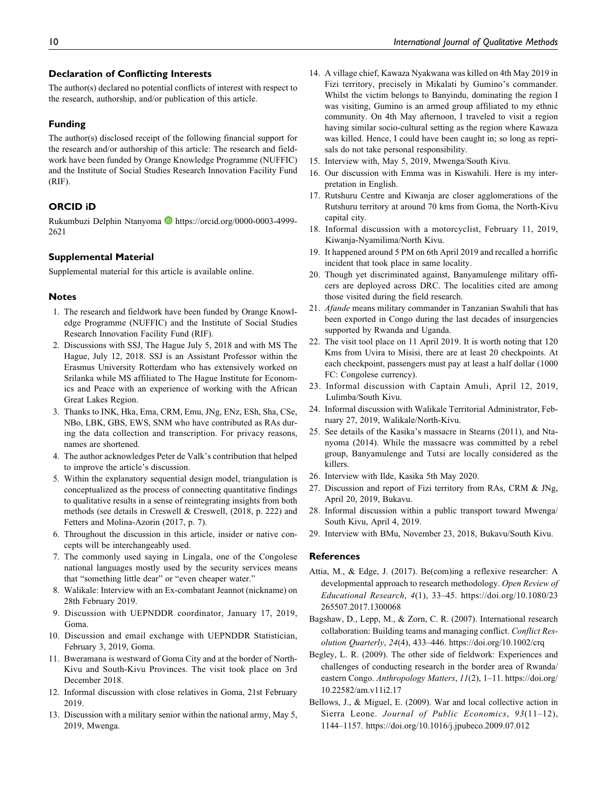## **Declaration of Conflicting Interests**

The author(s) declared no potential conflicts of interest with respect to the research, authorship, and/or publication of this article.

## **Funding**

The author(s) disclosed receipt of the following financial support for the research and/or authorship of this article: The research and fieldwork have been funded by Orange Knowledge Programme (NUFFIC) and the Institute of Social Studies Research Innovation Facility Fund (RIF).

# **ORCID iD**

Rukumbuzi Delphin Ntanyoma D [https://orcid.org/0000-0003-4999-](https://orcid.org/0000-0003-4999-2621) [2621](https://orcid.org/0000-0003-4999-2621)

## **Supplemental Material**

Supplemental material for this article is available online.

#### **Notes**

- 1. The research and fieldwork have been funded by Orange Knowledge Programme (NUFFIC) and the Institute of Social Studies Research Innovation Facility Fund (RIF).
- 2. Discussions with SSJ, The Hague July 5, 2018 and with MS The Hague, July 12, 2018. SSJ is an Assistant Professor within the Erasmus University Rotterdam who has extensively worked on Srilanka while MS affiliated to The Hague Institute for Economics and Peace with an experience of working with the African Great Lakes Region.
- 3. Thanks to INK, Hka, Ema, CRM, Emu, JNg, ENz, ESh, Sha, CSe, NBo, LBK, GBS, EWS, SNM who have contributed as RAs during the data collection and transcription. For privacy reasons, names are shortened.
- 4. The author acknowledges Peter de Valk's contribution that helped to improve the article's discussion.
- 5. Within the explanatory sequential design model, triangulation is conceptualized as the process of connecting quantitative findings to qualitative results in a sense of reintegrating insights from both methods (see details in Creswell & Creswell, (2018, p. 222) and Fetters and Molina-Azorin (2017, p. 7).
- 6. Throughout the discussion in this article, insider or native concepts will be interchangeably used.
- 7. The commonly used saying in Lingala, one of the Congolese national languages mostly used by the security services means that "something little dear" or "even cheaper water."
- 8. Walikale: Interview with an Ex-combatant Jeannot (nickname) on 28th February 2019.
- 9. Discussion with UEPNDDR coordinator, January 17, 2019, Goma.
- 10. Discussion and email exchange with UEPNDDR Statistician, February 3, 2019, Goma.
- 11. Bweramana is westward of Goma City and at the border of North-Kivu and South-Kivu Provinces. The visit took place on 3rd December 2018.
- 12. Informal discussion with close relatives in Goma, 21st February 2019.
- 13. Discussion with a military senior within the national army, May 5, 2019, Mwenga.
- 14. A village chief, Kawaza Nyakwana was killed on 4th May 2019 in Fizi territory, precisely in Mikalati by Gumino's commander. Whilst the victim belongs to Banyindu, dominating the region I was visiting, Gumino is an armed group affiliated to my ethnic community. On 4th May afternoon, I traveled to visit a region having similar socio-cultural setting as the region where Kawaza was killed. Hence, I could have been caught in; so long as reprisals do not take personal responsibility.
- 15. Interview with, May 5, 2019, Mwenga/South Kivu.
- 16. Our discussion with Emma was in Kiswahili. Here is my interpretation in English.
- 17. Rutshuru Centre and Kiwanja are closer agglomerations of the Rutshuru territory at around 70 kms from Goma, the North-Kivu capital city.
- 18. Informal discussion with a motorcyclist, February 11, 2019, Kiwanja-Nyamilima/North Kivu.
- 19. It happened around 5 PM on 6th April 2019 and recalled a horrific incident that took place in same locality.
- 20. Though yet discriminated against, Banyamulenge military officers are deployed across DRC. The localities cited are among those visited during the field research.
- 21. Afande means military commander in Tanzanian Swahili that has been exported in Congo during the last decades of insurgencies supported by Rwanda and Uganda.
- 22. The visit tool place on 11 April 2019. It is worth noting that 120 Kms from Uvira to Misisi, there are at least 20 checkpoints. At each checkpoint, passengers must pay at least a half dollar (1000 FC: Congolese currency).
- 23. Informal discussion with Captain Amuli, April 12, 2019, Lulimba/South Kivu.
- 24. Informal discussion with Walikale Territorial Administrator, February 27, 2019, Walikale/North-Kivu.
- 25. See details of the Kasika's massacre in Stearns (2011), and Ntanyoma (2014). While the massacre was committed by a rebel group, Banyamulenge and Tutsi are locally considered as the killers.
- 26. Interview with Ilde, Kasika 5th May 2020.
- 27. Discussion and report of Fizi territory from RAs, CRM & JNg, April 20, 2019, Bukavu.
- 28. Informal discussion within a public transport toward Mwenga/ South Kivu, April 4, 2019.
- 29. Interview with BMu, November 23, 2018, Bukavu/South Kivu.

## **References**

- Attia, M., & Edge, J. (2017). Be(com)ing a reflexive researcher: A developmental approach to research methodology. Open Review of Educational Research, 4(1), 33–45. [https://doi.org/10.1080/23](https://doi.org/10.1080/23265507.2017.1300068) [265507.2017.1300068](https://doi.org/10.1080/23265507.2017.1300068)
- Bagshaw, D., Lepp, M., & Zorn, C. R. (2007). International research collaboration: Building teams and managing conflict. Conflict Resolution Quarterly, 24(4), 433–446.<https://doi.org/10.1002/crq>
- Begley, L. R. (2009). The other side of fieldwork: Experiences and challenges of conducting research in the border area of Rwanda/ eastern Congo. Anthropology Matters, 11(2), 1-11. [https://doi.org/](https://doi.org/10.22582/am.v11i2.17) [10.22582/am.v11i2.17](https://doi.org/10.22582/am.v11i2.17)
- Bellows, J., & Miguel, E. (2009). War and local collective action in Sierra Leone. Journal of Public Economics, 93(11-12), 1144–1157.<https://doi.org/10.1016/j.jpubeco.2009.07.012>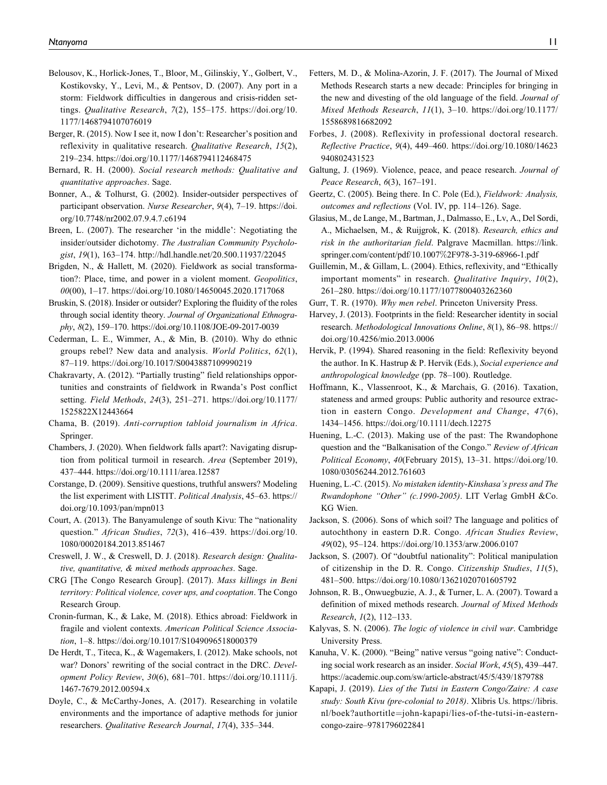- Belousov, K., Horlick-Jones, T., Bloor, M., Gilinskiy, Y., Golbert, V., Kostikovsky, Y., Levi, M., & Pentsov, D. (2007). Any port in a storm: Fieldwork difficulties in dangerous and crisis-ridden settings. Qualitative Research, 7(2), 155–175. [https://doi.org/10.](https://doi.org/10.1177/1468794107076019) [1177/1468794107076019](https://doi.org/10.1177/1468794107076019)
- Berger, R. (2015). Now I see it, now I don't: Researcher's position and reflexivity in qualitative research. Qualitative Research, 15(2), 219–234.<https://doi.org/10.1177/1468794112468475>
- Bernard, R. H. (2000). Social research methods: Qualitative and quantitative approaches. Sage.
- Bonner, A., & Tolhurst, G. (2002). Insider-outsider perspectives of participant observation. Nurse Researcher, 9(4), 7–19. [https://doi.](https://doi.org/10.7748/nr2002.07.9.4.7.c6194) [org/10.7748/nr2002.07.9.4.7.c6194](https://doi.org/10.7748/nr2002.07.9.4.7.c6194)
- Breen, L. (2007). The researcher 'in the middle': Negotiating the insider/outsider dichotomy. The Australian Community Psychologist, 19(1), 163–174.<http://hdl.handle.net/20.500.11937/22045>
- Brigden, N., & Hallett, M. (2020). Fieldwork as social transformation?: Place, time, and power in a violent moment. Geopolitics, 00(00), 1–17.<https://doi.org/10.1080/14650045.2020.1717068>
- Bruskin, S. (2018). Insider or outsider? Exploring the fluidity of the roles through social identity theory. Journal of Organizational Ethnography, 8(2), 159–170.<https://doi.org/10.1108/JOE-09-2017-0039>
- Cederman, L. E., Wimmer, A., & Min, B. (2010). Why do ethnic groups rebel? New data and analysis. World Politics, 62(1), 87–119.<https://doi.org/10.1017/S0043887109990219>
- Chakravarty, A. (2012). "Partially trusting" field relationships opportunities and constraints of fieldwork in Rwanda's Post conflict setting. Field Methods, 24(3), 251–271. [https://doi.org/10.1177/](https://doi.org/10.1177/1525822X12443664) [1525822X12443664](https://doi.org/10.1177/1525822X12443664)
- Chama, B. (2019). Anti-corruption tabloid journalism in Africa. Springer.
- Chambers, J. (2020). When fieldwork falls apart?: Navigating disruption from political turmoil in research. Area (September 2019), 437–444.<https://doi.org/10.1111/area.12587>
- Corstange, D. (2009). Sensitive questions, truthful answers? Modeling the list experiment with LISTIT. Political Analysis, 45–63. [https://](https://doi.org/10.1093/pan/mpn013) [doi.org/10.1093/pan/mpn013](https://doi.org/10.1093/pan/mpn013)
- Court, A. (2013). The Banyamulenge of south Kivu: The "nationality question." African Studies, 72(3), 416-439. [https://doi.org/10.](https://doi.org/10.1080/00020184.2013.851467) [1080/00020184.2013.851467](https://doi.org/10.1080/00020184.2013.851467)
- Creswell, J. W., & Creswell, D. J. (2018). Research design: Qualitative, quantitative, & mixed methods approaches. Sage.
- CRG [The Congo Research Group]. (2017). Mass killings in Beni territory: Political violence, cover ups, and cooptation. The Congo Research Group.
- Cronin-furman, K., & Lake, M. (2018). Ethics abroad: Fieldwork in fragile and violent contexts. American Political Science Association, 1–8.<https://doi.org/10.1017/S1049096518000379>
- De Herdt, T., Titeca, K., & Wagemakers, I. (2012). Make schools, not war? Donors' rewriting of the social contract in the DRC. Development Policy Review, 30(6), 681–701. [https://doi.org/10.1111/j.](https://doi.org/10.1111/j.1467-7679.2012.00594.x) [1467-7679.2012.00594.x](https://doi.org/10.1111/j.1467-7679.2012.00594.x)
- Doyle, C., & McCarthy-Jones, A. (2017). Researching in volatile environments and the importance of adaptive methods for junior researchers. Qualitative Research Journal, 17(4), 335–344.
- Fetters, M. D., & Molina-Azorin, J. F. (2017). The Journal of Mixed Methods Research starts a new decade: Principles for bringing in the new and divesting of the old language of the field. Journal of Mixed Methods Research, 11(1), 3–10. [https://doi.org/10.1177/](https://doi.org/10.1177/1558689816682092) [1558689816682092](https://doi.org/10.1177/1558689816682092)
- Forbes, J. (2008). Reflexivity in professional doctoral research. Reflective Practice, 9(4), 449–460. [https://doi.org/10.1080/14623](https://doi.org/10.1080/14623940802431523) [940802431523](https://doi.org/10.1080/14623940802431523)
- Galtung, J. (1969). Violence, peace, and peace research. Journal of Peace Research, 6(3), 167–191.
- Geertz, C. (2005). Being there. In C. Pole (Ed.), Fieldwork: Analysis, outcomes and reflections (Vol. IV, pp. 114–126). Sage.
- Glasius, M., de Lange, M., Bartman, J., Dalmasso, E., Lv, A., Del Sordi, A., Michaelsen, M., & Ruijgrok, K. (2018). Research, ethics and risk in the authoritarian field. Palgrave Macmillan. [https://link.](https://link.springer.com/content/pdf/10.1007%2F978-3-319-68966-1.pdf) [springer.com/content/pdf/10.1007](https://link.springer.com/content/pdf/10.1007%2F978-3-319-68966-1.pdf)%[2F978-3-319-68966-1.pdf](https://link.springer.com/content/pdf/10.1007%2F978-3-319-68966-1.pdf)
- Guillemin, M., & Gillam, L. (2004). Ethics, reflexivity, and "Ethically important moments" in research. Qualitative Inquiry, 10(2), 261–280.<https://doi.org/10.1177/1077800403262360>
- Gurr, T. R. (1970). *Why men rebel*. Princeton University Press.
- Harvey, J. (2013). Footprints in the field: Researcher identity in social research. Methodological Innovations Online, 8(1), 86–98. [https://](https://doi.org/10.4256/mio.2013.0006) [doi.org/10.4256/mio.2013.0006](https://doi.org/10.4256/mio.2013.0006)
- Hervik, P. (1994). Shared reasoning in the field: Reflexivity beyond the author. In K. Hastrup & P. Hervik (Eds.), Social experience and anthropological knowledge (pp. 78–100). Routledge.
- Hoffmann, K., Vlassenroot, K., & Marchais, G. (2016). Taxation, stateness and armed groups: Public authority and resource extraction in eastern Congo. Development and Change, 47(6), 1434–1456.<https://doi.org/10.1111/dech.12275>
- Huening, L.-C. (2013). Making use of the past: The Rwandophone question and the "Balkanisation of the Congo." Review of African Political Economy, 40(February 2015), 13–31. [https://doi.org/10.](https://doi.org/10.1080/03056244.2012.761603) [1080/03056244.2012.761603](https://doi.org/10.1080/03056244.2012.761603)
- Huening, L.-C. (2015). No mistaken identity-Kinshasa's press and The Rwandophone "Other" (c.1990-2005). LIT Verlag GmbH &Co. KG Wien.
- Jackson, S. (2006). Sons of which soil? The language and politics of autochthony in eastern D.R. Congo. African Studies Review, 49(02), 95–124.<https://doi.org/10.1353/arw.2006.0107>
- Jackson, S. (2007). Of "doubtful nationality": Political manipulation of citizenship in the D. R. Congo. Citizenship Studies, 11(5), 481–500.<https://doi.org/10.1080/13621020701605792>
- Johnson, R. B., Onwuegbuzie, A. J., & Turner, L. A. (2007). Toward a definition of mixed methods research. Journal of Mixed Methods Research, 1(2), 112–133.
- Kalyvas, S. N. (2006). The logic of violence in civil war. Cambridge University Press.
- Kanuha, V. K. (2000). "Being" native versus "going native": Conducting social work research as an insider. Social Work, 45(5), 439–447. <https://academic.oup.com/sw/article-abstract/45/5/439/1879788>
- Kapapi, J. (2019). Lies of the Tutsi in Eastern Congo/Zaire: A case study: South Kivu (pre-colonial to 2018). Xlibris Us. [https://libris.](https://libris.nl/boek?authortitle=john-kapapi/lies-of-the-tutsi-in-eastern-congo-zaire--9781796022841) [nl/boek?authortitle](https://libris.nl/boek?authortitle=john-kapapi/lies-of-the-tutsi-in-eastern-congo-zaire--9781796022841)=[john-kapapi/lies-of-the-tutsi-in-eastern](https://libris.nl/boek?authortitle=john-kapapi/lies-of-the-tutsi-in-eastern-congo-zaire--9781796022841)[congo-zaire–9781796022841](https://libris.nl/boek?authortitle=john-kapapi/lies-of-the-tutsi-in-eastern-congo-zaire--9781796022841)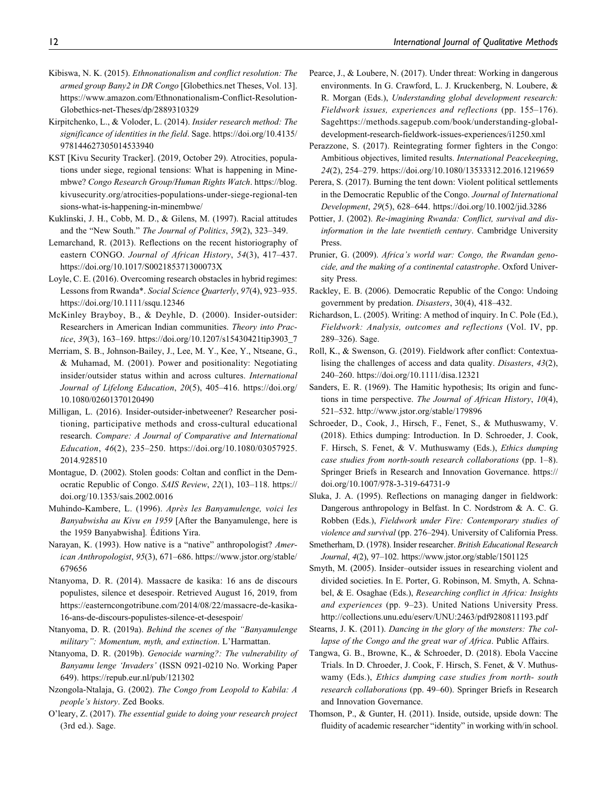- Kibiswa, N. K. (2015). Ethnonationalism and conflict resolution: The armed group Bany2 in DR Congo [Globethics.net Theses, Vol. 13]. [https://www.amazon.com/Ethnonationalism-Conflict-Resolution-](https://www.amazon.com/Ethnonationalism-Conflict-Resolution-Globethics-net-Theses/dp/2889310329)[Globethics-net-Theses/dp/2889310329](https://www.amazon.com/Ethnonationalism-Conflict-Resolution-Globethics-net-Theses/dp/2889310329)
- Kirpitchenko, L., & Voloder, L. (2014). Insider research method: The significance of identities in the field. Sage. [https://doi.org/10.4135/](https://doi.org/10.4135/978144627305014533940) [978144627305014533940](https://doi.org/10.4135/978144627305014533940)
- KST [Kivu Security Tracker]. (2019, October 29). Atrocities, populations under siege, regional tensions: What is happening in Minembwe? Congo Research Group/Human Rights Watch. [https://blog.](https://blog.kivusecurity.org/atrocities-populations-under-siege-regional-tensions-what-is-happening-in-minembwe/) [kivusecurity.org/atrocities-populations-under-siege-regional-ten](https://blog.kivusecurity.org/atrocities-populations-under-siege-regional-tensions-what-is-happening-in-minembwe/) [sions-what-is-happening-in-minembwe/](https://blog.kivusecurity.org/atrocities-populations-under-siege-regional-tensions-what-is-happening-in-minembwe/)
- Kuklinski, J. H., Cobb, M. D., & Gilens, M. (1997). Racial attitudes and the "New South." The Journal of Politics, 59(2), 323–349.
- Lemarchand, R. (2013). Reflections on the recent historiography of eastern CONGO. Journal of African History, 54(3), 417–437. <https://doi.org/10.1017/S002185371300073X>
- Loyle, C. E. (2016). Overcoming research obstacles in hybrid regimes: Lessons from Rwanda\*. Social Science Quarterly, 97(4), 923–935. <https://doi.org/10.1111/ssqu.12346>
- McKinley Brayboy, B., & Deyhle, D. (2000). Insider-outsider: Researchers in American Indian communities. Theory into Practice, 39(3), 163–169. [https://doi.org/10.1207/s15430421tip3903\\_7](https://doi.org/10.1207/s15430421tip3903_7)
- Merriam, S. B., Johnson-Bailey, J., Lee, M. Y., Kee, Y., Ntseane, G., & Muhamad, M. (2001). Power and positionality: Negotiating insider/outsider status within and across cultures. International Journal of Lifelong Education, 20(5), 405–416. [https://doi.org/](https://doi.org/10.1080/02601370120490) [10.1080/02601370120490](https://doi.org/10.1080/02601370120490)
- Milligan, L. (2016). Insider-outsider-inbetweener? Researcher positioning, participative methods and cross-cultural educational research. Compare: A Journal of Comparative and International Education, 46(2), 235–250. [https://doi.org/10.1080/03057925.](https://doi.org/10.1080/03057925.2014.928510) [2014.928510](https://doi.org/10.1080/03057925.2014.928510)
- Montague, D. (2002). Stolen goods: Coltan and conflict in the Democratic Republic of Congo. SAIS Review, 22(1), 103–118. [https://](https://doi.org/10.1353/sais.2002.0016) [doi.org/10.1353/sais.2002.0016](https://doi.org/10.1353/sais.2002.0016)
- Muhindo-Kambere, L. (1996). Après les Banyamulenge, voici les Banyabwisha au Kivu en 1959 [After the Banyamulenge, here is the 1959 Banyabwisha]. Editions Yira. ´
- Narayan, K. (1993). How native is a "native" anthropologist? American Anthropologist, 95(3), 671–686. [https://www.jstor.org/stable/](https://www.jstor.org/stable/679656) [679656](https://www.jstor.org/stable/679656)
- Ntanyoma, D. R. (2014). Massacre de kasika: 16 ans de discours populistes, silence et desespoir. Retrieved August 16, 2019, from [https://easterncongotribune.com/2014/08/22/massacre-de-kasika-](https://easterncongotribune.com/2014/08/22/massacre-de-kasika-16-ans-de-discours-populistes-silence-et-desespoir/)[16-ans-de-discours-populistes-silence-et-desespoir/](https://easterncongotribune.com/2014/08/22/massacre-de-kasika-16-ans-de-discours-populistes-silence-et-desespoir/)
- Ntanyoma, D. R. (2019a). Behind the scenes of the "Banyamulenge military": Momentum, myth, and extinction. L'Harmattan.
- Ntanyoma, D. R. (2019b). Genocide warning?: The vulnerability of Banyamu lenge 'Invaders' (ISSN 0921-0210 No. Working Paper 649).<https://repub.eur.nl/pub/121302>
- Nzongola-Ntalaja, G. (2002). The Congo from Leopold to Kabila: A people's history. Zed Books.
- O'leary, Z. (2017). The essential guide to doing your research project (3rd ed.). Sage.
- Pearce, J., & Loubere, N. (2017). Under threat: Working in dangerous environments. In G. Crawford, L. J. Kruckenberg, N. Loubere, & R. Morgan (Eds.), Understanding global development research: Fieldwork issues, experiences and reflections (pp. 155–176). Sag[ehttps://methods.sagepub.com/book/understanding-global](https://methods.sagepub.com/book/understanding-global-development-research-fieldwork-issues-experiences/i1250.xml)[development-research-fieldwork-issues-experiences/i1250.xml](https://methods.sagepub.com/book/understanding-global-development-research-fieldwork-issues-experiences/i1250.xml)
- Perazzone, S. (2017). Reintegrating former fighters in the Congo: Ambitious objectives, limited results. International Peacekeeping, 24(2), 254–279.<https://doi.org/10.1080/13533312.2016.1219659>
- Perera, S. (2017). Burning the tent down: Violent political settlements in the Democratic Republic of the Congo. Journal of International Development, 29(5), 628–644.<https://doi.org/10.1002/jid.3286>
- Pottier, J. (2002). Re-imagining Rwanda: Conflict, survival and disinformation in the late twentieth century. Cambridge University Press.
- Prunier, G. (2009). Africa's world war: Congo, the Rwandan genocide, and the making of a continental catastrophe. Oxford University Press.
- Rackley, E. B. (2006). Democratic Republic of the Congo: Undoing government by predation. Disasters, 30(4), 418–432.
- Richardson, L. (2005). Writing: A method of inquiry. In C. Pole (Ed.), Fieldwork: Analysis, outcomes and reflections (Vol. IV, pp. 289–326). Sage.
- Roll, K., & Swenson, G. (2019). Fieldwork after conflict: Contextualising the challenges of access and data quality. Disasters, 43(2), 240–260.<https://doi.org/10.1111/disa.12321>
- Sanders, E. R. (1969). The Hamitic hypothesis; Its origin and functions in time perspective. The Journal of African History, 10(4), 521–532.<http://www.jstor.org/stable/179896>
- Schroeder, D., Cook, J., Hirsch, F., Fenet, S., & Muthuswamy, V. (2018). Ethics dumping: Introduction. In D. Schroeder, J. Cook, F. Hirsch, S. Fenet, & V. Muthuswamy (Eds.), Ethics dumping case studies from north-south research collaborations (pp. 1–8). Springer Briefs in Research and Innovation Governance. [https://](https://doi.org/10.1007/978-3-319-64731-9) [doi.org/10.1007/978-3-319-64731-9](https://doi.org/10.1007/978-3-319-64731-9)
- Sluka, J. A. (1995). Reflections on managing danger in fieldwork: Dangerous anthropology in Belfast. In C. Nordstrom & A. C. G. Robben (Eds.), Fieldwork under Fire: Contemporary studies of violence and survival (pp. 276–294). University of California Press.
- Smetherham, D. (1978). Insider researcher. British Educational Research Journal, 4(2), 97–102.<https://www.jstor.org/stable/1501125>
- Smyth, M. (2005). Insider–outsider issues in researching violent and divided societies. In E. Porter, G. Robinson, M. Smyth, A. Schnabel, & E. Osaghae (Eds.), Researching conflict in Africa: Insights and experiences (pp. 9–23). United Nations University Press. <http://collections.unu.edu/eserv/UNU:2463/pdf9280811193.pdf>
- Stearns, J. K. (2011). Dancing in the glory of the monsters: The collapse of the Congo and the great war of Africa. Public Affairs.
- Tangwa, G. B., Browne, K., & Schroeder, D. (2018). Ebola Vaccine Trials. In D. Chroeder, J. Cook, F. Hirsch, S. Fenet, & V. Muthuswamy (Eds.), Ethics dumping case studies from north- south research collaborations (pp. 49–60). Springer Briefs in Research and Innovation Governance.
- Thomson, P., & Gunter, H. (2011). Inside, outside, upside down: The fluidity of academic researcher "identity" in working with/in school.